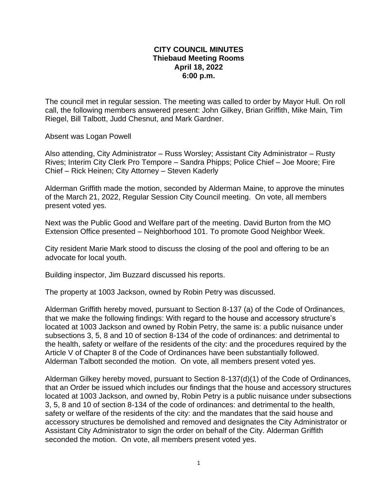## **CITY COUNCIL MINUTES Thiebaud Meeting Rooms April 18, 2022 6:00 p.m.**

The council met in regular session. The meeting was called to order by Mayor Hull. On roll call, the following members answered present: John Gilkey, Brian Griffith, Mike Main, Tim Riegel, Bill Talbott, Judd Chesnut, and Mark Gardner.

Absent was Logan Powell

Also attending, City Administrator – Russ Worsley; Assistant City Administrator – Rusty Rives; Interim City Clerk Pro Tempore – Sandra Phipps; Police Chief – Joe Moore; Fire Chief – Rick Heinen; City Attorney – Steven Kaderly

Alderman Griffith made the motion, seconded by Alderman Maine, to approve the minutes of the March 21, 2022, Regular Session City Council meeting. On vote, all members present voted yes.

Next was the Public Good and Welfare part of the meeting. David Burton from the MO Extension Office presented – Neighborhood 101. To promote Good Neighbor Week.

City resident Marie Mark stood to discuss the closing of the pool and offering to be an advocate for local youth.

Building inspector, Jim Buzzard discussed his reports.

The property at 1003 Jackson, owned by Robin Petry was discussed.

Alderman Griffith hereby moved, pursuant to Section 8-137 (a) of the Code of Ordinances, that we make the following findings: With regard to the house and accessory structure's located at 1003 Jackson and owned by Robin Petry, the same is: a public nuisance under subsections 3, 5, 8 and 10 of section 8-134 of the code of ordinances: and detrimental to the health, safety or welfare of the residents of the city: and the procedures required by the Article V of Chapter 8 of the Code of Ordinances have been substantially followed. Alderman Talbott seconded the motion. On vote, all members present voted yes.

Alderman Gilkey hereby moved, pursuant to Section 8-137(d)(1) of the Code of Ordinances, that an Order be issued which includes our findings that the house and accessory structures located at 1003 Jackson, and owned by, Robin Petry is a public nuisance under subsections 3, 5, 8 and 10 of section 8-134 of the code of ordinances: and detrimental to the health, safety or welfare of the residents of the city: and the mandates that the said house and accessory structures be demolished and removed and designates the City Administrator or Assistant City Administrator to sign the order on behalf of the City. Alderman Griffith seconded the motion. On vote, all members present voted yes.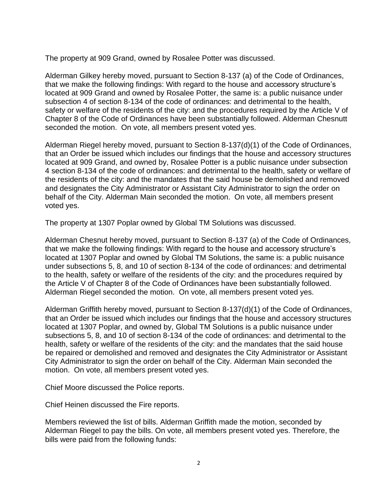The property at 909 Grand, owned by Rosalee Potter was discussed.

Alderman Gilkey hereby moved, pursuant to Section 8-137 (a) of the Code of Ordinances, that we make the following findings: With regard to the house and accessory structure's located at 909 Grand and owned by Rosalee Potter, the same is: a public nuisance under subsection 4 of section 8-134 of the code of ordinances: and detrimental to the health, safety or welfare of the residents of the city: and the procedures required by the Article V of Chapter 8 of the Code of Ordinances have been substantially followed. Alderman Chesnutt seconded the motion. On vote, all members present voted yes.

Alderman Riegel hereby moved, pursuant to Section 8-137(d)(1) of the Code of Ordinances, that an Order be issued which includes our findings that the house and accessory structures located at 909 Grand, and owned by, Rosalee Potter is a public nuisance under subsection 4 section 8-134 of the code of ordinances: and detrimental to the health, safety or welfare of the residents of the city: and the mandates that the said house be demolished and removed and designates the City Administrator or Assistant City Administrator to sign the order on behalf of the City. Alderman Main seconded the motion. On vote, all members present voted yes.

The property at 1307 Poplar owned by Global TM Solutions was discussed.

Alderman Chesnut hereby moved, pursuant to Section 8-137 (a) of the Code of Ordinances, that we make the following findings: With regard to the house and accessory structure's located at 1307 Poplar and owned by Global TM Solutions, the same is: a public nuisance under subsections 5, 8, and 10 of section 8-134 of the code of ordinances: and detrimental to the health, safety or welfare of the residents of the city: and the procedures required by the Article V of Chapter 8 of the Code of Ordinances have been substantially followed. Alderman Riegel seconded the motion. On vote, all members present voted yes.

Alderman Griffith hereby moved, pursuant to Section 8-137(d)(1) of the Code of Ordinances, that an Order be issued which includes our findings that the house and accessory structures located at 1307 Poplar, and owned by, Global TM Solutions is a public nuisance under subsections 5, 8, and 10 of section 8-134 of the code of ordinances: and detrimental to the health, safety or welfare of the residents of the city: and the mandates that the said house be repaired or demolished and removed and designates the City Administrator or Assistant City Administrator to sign the order on behalf of the City. Alderman Main seconded the motion. On vote, all members present voted yes.

Chief Moore discussed the Police reports.

Chief Heinen discussed the Fire reports.

Members reviewed the list of bills. Alderman Griffith made the motion, seconded by Alderman Riegel to pay the bills. On vote, all members present voted yes. Therefore, the bills were paid from the following funds: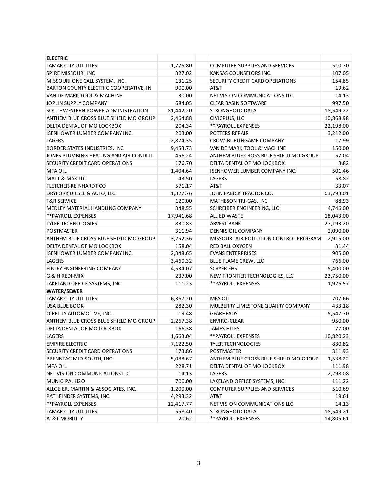| <b>ELECTRIC</b>                        |           |                                        |           |
|----------------------------------------|-----------|----------------------------------------|-----------|
| LAMAR CITY UTILITIES                   | 1,776.80  | COMPUTER SUPPLIES AND SERVICES         | 510.70    |
| <b>SPIRE MISSOURI INC</b>              | 327.02    | KANSAS COUNSELORS INC.                 | 107.05    |
| MISSOURI ONE CALL SYSTEM, INC.         | 131.25    | SECURITY CREDIT CARD OPERATIONS        | 154.85    |
| BARTON COUNTY ELECTRIC COOPERATIVE, IN | 900.00    | AT&T                                   | 19.62     |
| VAN DE MARK TOOL & MACHINE             | 30.00     | NET VISION COMMUNICATIONS LLC          | 14.13     |
| JOPLIN SUPPLY COMPANY                  | 684.05    | <b>CLEAR BASIN SOFTWARE</b>            | 997.50    |
| SOUTHWESTERN POWER ADMINISTRATION      | 81,442.20 | STRONGHOLD DATA                        | 18,549.22 |
| ANTHEM BLUE CROSS BLUE SHIELD MO GROUP | 2,464.88  | CIVICPLUS, LLC                         | 10,868.98 |
| DELTA DENTAL OF MO LOCKBOX             | 204.34    | ** PAYROLL EXPENSES                    | 22,198.00 |
| <b>ISENHOWER LUMBER COMPANY INC.</b>   | 203.00    | POTTERS REPAIR                         | 3,212.00  |
| <b>LAGERS</b>                          | 2,874.35  | CROW-BURLINGAME COMPANY                | 17.99     |
| BORDER STATES INDUSTRIES, INC          | 9,453.73  | VAN DE MARK TOOL & MACHINE             | 150.00    |
| JONES PLUMBING HEATING AND AIR CONDITI | 456.24    | ANTHEM BLUE CROSS BLUE SHIELD MO GROUP | 57.04     |
| SECURITY CREDIT CARD OPERATIONS        | 176.70    | DELTA DENTAL OF MO LOCKBOX             | 3.82      |
| <b>MFA OIL</b>                         | 1,404.64  | ISENHOWER LUMBER COMPANY INC.          | 501.46    |
| <b>MATT &amp; MAX LLC</b>              | 43.50     | LAGERS                                 | 58.82     |
| FLETCHER-REINHARDT CO                  | 571.17    | AT&T                                   | 33.07     |
| DRYFORK DIESEL & AUTO, LLC             | 1,327.76  | JOHN FABICK TRACTOR CO.                | 63,793.01 |
| <b>T&amp;R SERVICE</b>                 | 120.00    | MATHESON TRI-GAS, INC                  | 88.93     |
| MEDLEY MATERIAL HANDLING COMPANY       | 348.55    | SCHREIBER ENGINEERING, LLC             | 4,746.00  |
| **PAYROLL EXPENSES                     | 17,941.68 | <b>ALLIED WASTE</b>                    | 18,043.00 |
| <b>TYLER TECHNOLOGIES</b>              | 830.83    | <b>ARVEST BANK</b>                     | 27,193.20 |
| <b>POSTMASTER</b>                      | 311.94    | DENNIS OIL COMPANY                     | 2,090.00  |
| ANTHEM BLUE CROSS BLUE SHIELD MO GROUP | 3,252.36  | MISSOURI AIR POLLUTION CONTROL PROGRAM | 2,915.00  |
| DELTA DENTAL OF MO LOCKBOX             | 158.04    | RED BALL OXYGEN                        | 31.44     |
| <b>ISENHOWER LUMBER COMPANY INC.</b>   | 2,348.65  | <b>EVANS ENTERPRISES</b>               | 905.00    |
| LAGERS                                 | 3,460.32  | BLUE FLAME CREW, LLC                   | 766.00    |
| FINLEY ENGINEERING COMPANY             | 4,534.07  | <b>SCRYER EHS</b>                      | 5,400.00  |
| G & H REDI-MIX                         | 237.00    | NEW FRONTIER TECHNOLOGIES, LLC         | 23,750.00 |
| LAKELAND OFFICE SYSTEMS, INC.          | 111.23    | ** PAYROLL EXPENSES                    | 1,926.57  |
| <b>WATER/SEWER</b>                     |           |                                        |           |
| LAMAR CITY UTILITIES                   | 6,367.20  | <b>MFA OIL</b>                         | 707.66    |
| <b>USA BLUE BOOK</b>                   | 282.30    | MULBERRY LIMESTONE QUARRY COMPANY      | 433.18    |
| O'REILLY AUTOMOTIVE, INC.              | 19.48     | <b>GEARHEADS</b>                       | 5,547.70  |
| ANTHEM BLUE CROSS BLUE SHIELD MO GROUP | 2,267.38  | ENVIRO-CLEAR                           | 950.00    |
| DELTA DENTAL OF MO LOCKBOX             | 166.38    | <b>JAMES HITES</b>                     | 77.00     |
| LAGERS                                 | 1,663.04  | ** PAYROLL EXPENSES                    | 10,820.23 |
| <b>EMPIRE ELECTRIC</b>                 | 7,122.50  | <b>TYLER TECHNOLOGIES</b>              | 830.82    |
| SECURITY CREDIT CARD OPERATIONS        | 173.86    | POSTMASTER                             | 311.93    |
| BRENNTAG MID-SOUTH, INC.               | 5,088.67  | ANTHEM BLUE CROSS BLUE SHIELD MO GROUP | 1,538.22  |
| <b>MFA OIL</b>                         | 228.71    | DELTA DENTAL OF MO LOCKBOX             | 111.98    |
| NET VISION COMMUNICATIONS LLC          | 14.13     | LAGERS                                 | 2,298.08  |
| MUNICIPAL H2O                          | 700.00    | LAKELAND OFFICE SYSTEMS, INC.          | 111.22    |
| ALLGEIER, MARTIN & ASSOCIATES, INC.    | 1,200.00  | <b>COMPUTER SUPPLIES AND SERVICES</b>  | 510.69    |
| PATHFINDER SYSTEMS, INC.               | 4,293.32  | AT&T                                   | 19.61     |
| ** PAYROLL EXPENSES                    | 12,417.77 | NET VISION COMMUNICATIONS LLC          | 14.13     |
| LAMAR CITY UTILITIES                   | 558.40    | STRONGHOLD DATA                        | 18,549.21 |
| <b>AT&amp;T MOBILITY</b>               | 20.62     | ** PAYROLL EXPENSES                    | 14,805.61 |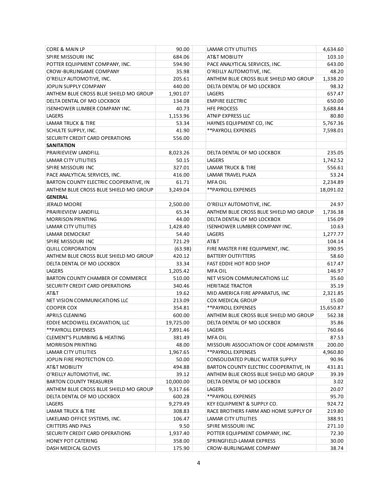| CORE & MAIN LP                          | 90.00     | LAMAR CITY UTILITIES                   | 4,634.60  |
|-----------------------------------------|-----------|----------------------------------------|-----------|
| SPIRE MISSOURI INC                      | 684.06    | AT&T MOBILITY                          | 103.10    |
| POTTER EQUIPMENT COMPANY, INC.          | 594.90    | PACE ANALYTICAL SERVICES, INC.         | 643.00    |
| CROW-BURLINGAME COMPANY                 | 35.98     | O'REILLY AUTOMOTIVE, INC.              | 48.20     |
| O'REILLY AUTOMOTIVE, INC.               | 205.61    | ANTHEM BLUE CROSS BLUE SHIELD MO GROUP | 1,338.20  |
| JOPLIN SUPPLY COMPANY                   | 440.00    | DELTA DENTAL OF MO LOCKBOX             | 98.32     |
| ANTHEM BLUE CROSS BLUE SHIELD MO GROUP  | 1,901.07  | LAGERS                                 | 657.47    |
| DELTA DENTAL OF MO LOCKBOX              | 134.08    | <b>EMPIRE ELECTRIC</b>                 | 650.00    |
| <b>ISENHOWER LUMBER COMPANY INC.</b>    | 40.73     | <b>HFE PROCESS</b>                     | 3,688.84  |
| <b>LAGERS</b>                           | 1,153.96  | ATNIP EXPRESS LLC                      | 80.80     |
| <b>LAMAR TRUCK &amp; TIRE</b>           | 53.34     | HAYNES EQUIPMENT CO, INC               | 5,767.36  |
| SCHULTE SUPPLY, INC.                    | 41.90     | ** PAYROLL EXPENSES                    | 7,598.01  |
| SECURITY CREDIT CARD OPERATIONS         | 556.00    |                                        |           |
| <b>SANITATION</b>                       |           |                                        |           |
| PRAIRIEVIEW LANDFILL                    | 8,023.26  | DELTA DENTAL OF MO LOCKBOX             | 235.05    |
| LAMAR CITY UTILITIES                    | 50.15     | LAGERS                                 | 1,742.52  |
| SPIRE MISSOURI INC                      | 327.01    | LAMAR TRUCK & TIRE                     | 556.61    |
| PACE ANALYTICAL SERVICES, INC.          | 416.00    | <b>LAMAR TRAVEL PLAZA</b>              | 53.24     |
| BARTON COUNTY ELECTRIC COOPERATIVE, IN  | 61.71     | <b>MFA OIL</b>                         | 2,234.89  |
| ANTHEM BLUE CROSS BLUE SHIELD MO GROUP  | 3,249.04  | ** PAYROLL EXPENSES                    | 18,091.02 |
| <b>GENERAL</b>                          |           |                                        |           |
| <b>JERALD MOORE</b>                     | 2,500.00  | O'REILLY AUTOMOTIVE, INC.              | 24.97     |
| PRAIRIEVIEW LANDFILL                    | 65.34     | ANTHEM BLUE CROSS BLUE SHIELD MO GROUP | 1,736.38  |
| <b>MORRISON PRINTING</b>                |           |                                        |           |
| LAMAR CITY UTILITIES                    | 44.00     | DELTA DENTAL OF MO LOCKBOX             | 156.09    |
|                                         | 1,428.40  | <b>ISENHOWER LUMBER COMPANY INC.</b>   | 10.63     |
| LAMAR DEMOCRAT                          | 54.40     | LAGERS                                 | 1,277.77  |
| SPIRE MISSOURI INC                      | 721.29    | AT&T                                   | 104.14    |
| <b>QUILL CORPORATION</b>                | (63.98)   | FIRE MASTER FIRE EQUIPMENT, INC.       | 390.95    |
| ANTHEM BLUE CROSS BLUE SHIELD MO GROUP  | 420.12    | <b>BATTERY OUTFITTERS</b>              | 58.60     |
| DELTA DENTAL OF MO LOCKBOX              | 33.34     | FAST EDDIE HOT ROD SHOP                | 617.47    |
| LAGERS                                  | 1,205.42  | <b>MFA OIL</b>                         | 146.97    |
| BARTON COUNTY CHAMBER OF COMMERCE       | 510.00    | NET VISION COMMUNICATIONS LLC          | 35.60     |
| SECURITY CREDIT CARD OPERATIONS         | 340.46    | <b>HERITAGE TRACTOR</b>                | 35.19     |
| AT&T                                    | 19.62     | MID AMERICA FIRE APPARATUS, INC        | 2,321.85  |
| NET VISION COMMUNICATIONS LLC           | 213.09    | <b>COX MEDICAL GROUP</b>               | 15.00     |
| <b>COOPER COX</b>                       | 354.81    | **PAYROLL EXPENSES                     | 15,650.87 |
| <b>APRILS CLEANING</b>                  | 600.00    | ANTHEM BLUE CROSS BLUE SHIELD MO GROUP | 562.38    |
| EDDIE MCDOWELL EXCAVATION, LLC          | 19,725.00 | DELTA DENTAL OF MO LOCKBOX             | 35.86     |
| **PAYROLL EXPENSES                      | 7,891.46  | LAGERS                                 | 760.66    |
| <b>CLEMENT'S PLUMBING &amp; HEATING</b> | 381.49    | MFA OIL                                | 87.53     |
| <b>MORRISON PRINTING</b>                | 48.00     | MISSOURI ASSOCIATION OF CODE ADMINISTR | 200.00    |
| LAMAR CITY UTILITIES                    | 1,967.65  | **PAYROLL EXPENSES                     | 4,960.80  |
| JOPLIN FIRE PROTECTION CO.              | 50.00     | CONSOLIDATED PUBLIC WATER SUPPLY       | 90.96     |
| AT&T MOBILITY                           | 494.88    | BARTON COUNTY ELECTRIC COOPERATIVE, IN | 431.81    |
| O'REILLY AUTOMOTIVE, INC.               | 39.12     | ANTHEM BLUE CROSS BLUE SHIELD MO GROUP | 39.39     |
| <b>BARTON COUNTY TREASURER</b>          | 10,000.00 | DELTA DENTAL OF MO LOCKBOX             | 3.02      |
| ANTHEM BLUE CROSS BLUE SHIELD MO GROUP  | 9,317.66  | LAGERS                                 | 20.07     |
| DELTA DENTAL OF MO LOCKBOX              | 600.28    | ** PAYROLL EXPENSES                    | 95.70     |
| LAGERS                                  | 9,279.49  | KEY EQUIPMENT & SUPPLY CO.             | 924.72    |
| LAMAR TRUCK & TIRE                      | 308.83    | RACE BROTHERS FARM AND HOME SUPPLY OF  | 219.80    |
| LAKELAND OFFICE SYSTEMS, INC.           | 106.47    | LAMAR CITY UTILITIES                   | 388.91    |
| CRITTERS AND PALS                       | 9.50      | SPIRE MISSOURI INC                     | 271.10    |
| SECURITY CREDIT CARD OPERATIONS         | 1,937.40  | POTTER EQUIPMENT COMPANY, INC.         | 72.30     |
| HONEY POT CATERING                      | 358.00    | SPRINGFIELD-LAMAR EXPRESS              | 30.00     |
| DASH MEDICAL GLOVES                     | 175.90    | CROW-BURLINGAME COMPANY                | 38.74     |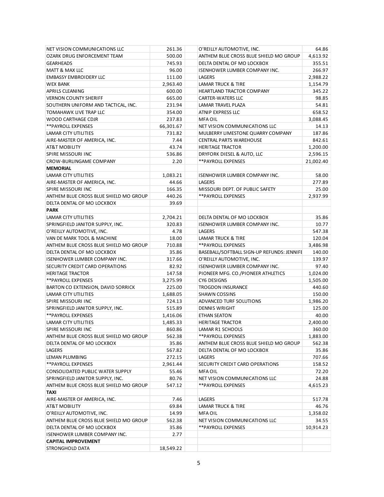| NET VISION COMMUNICATIONS LLC                                        | 261.36            | O'REILLY AUTOMOTIVE, INC.                  | 64.86     |
|----------------------------------------------------------------------|-------------------|--------------------------------------------|-----------|
| OZARK DRUG ENFORCEMENT TEAM                                          | 500.00            | ANTHEM BLUE CROSS BLUE SHIELD MO GROUP     | 4,613.92  |
| <b>GEARHEADS</b>                                                     | 745.93            | DELTA DENTAL OF MO LOCKBOX                 | 355.51    |
| MATT & MAX LLC                                                       | 96.00             | <b>ISENHOWER LUMBER COMPANY INC.</b>       | 266.97    |
| <b>EMBASSY EMBROIDERY LLC</b>                                        | 111.00            | LAGERS                                     | 2,988.22  |
| <b>WEX BANK</b>                                                      | 2,963.40          | LAMAR TRUCK & TIRE                         | 1,154.79  |
| APRILS CLEANING                                                      | 600.00            | HEARTLAND TRACTOR COMPANY                  | 345.22    |
| <b>VERNON COUNTY SHERIFF</b>                                         | 665.00            | CARTER-WATERS LLC                          | 98.85     |
| SOUTHERN UNIFORM AND TACTICAL, INC.                                  | 231.94            | LAMAR TRAVEL PLAZA                         | 54.81     |
| TOMAHAWK LIVE TRAP LLC                                               | 354.00            | ATNIP EXPRESS LLC                          | 658.52    |
| WOOD CARTHAGE CDJR                                                   | 237.83            | <b>MFA OIL</b>                             | 3,088.45  |
| **PAYROLL EXPENSES                                                   | 66,301.67         | NET VISION COMMUNICATIONS LLC              | 14.13     |
| <b>LAMAR CITY UTILITIES</b>                                          | 731.82            | MULBERRY LIMESTONE QUARRY COMPANY          | 187.86    |
| AIRE-MASTER OF AMERICA, INC.                                         | 7.44              | <b>CENTRAL PARTS WAREHOUSE</b>             | 842.61    |
| AT&T MOBILITY                                                        | 43.74             | <b>HERITAGE TRACTOR</b>                    | 1,200.00  |
| SPIRE MISSOURI INC                                                   | 536.86            | DRYFORK DIESEL & AUTO, LLC                 | 2,596.15  |
| CROW-BURLINGAME COMPANY                                              | 2.20              | **PAYROLL EXPENSES                         | 21,002.40 |
| <b>MEMORIAL</b>                                                      |                   |                                            |           |
| LAMAR CITY UTILITIES                                                 | 1,083.21          | <b>ISENHOWER LUMBER COMPANY INC.</b>       | 58.00     |
| AIRE-MASTER OF AMERICA, INC.                                         | 44.66             | LAGERS                                     | 277.89    |
| SPIRE MISSOURI INC                                                   | 166.35            | MISSOURI DEPT. OF PUBLIC SAFETY            | 25.00     |
| ANTHEM BLUE CROSS BLUE SHIELD MO GROUP                               | 440.26            | **PAYROLL EXPENSES                         | 2,937.99  |
| DELTA DENTAL OF MO LOCKBOX                                           | 39.69             |                                            |           |
| <b>PARK</b>                                                          |                   |                                            |           |
| LAMAR CITY UTILITIES                                                 | 2,704.21          | DELTA DENTAL OF MO LOCKBOX                 | 35.86     |
| SPRINGFIELD JANITOR SUPPLY, INC.                                     | 320.83            | <b>ISENHOWER LUMBER COMPANY INC.</b>       | 10.77     |
| O'REILLY AUTOMOTIVE, INC.                                            | 4.78              | LAGERS                                     | 547.38    |
| VAN DE MARK TOOL & MACHINE                                           | 18.00             | LAMAR TRUCK & TIRE                         | 120.04    |
| ANTHEM BLUE CROSS BLUE SHIELD MO GROUP                               | 710.88            | **PAYROLL EXPENSES                         | 3,486.98  |
| DELTA DENTAL OF MO LOCKBOX                                           | 35.86             | BASEBALL/SOFTBALL SIGN-UP REFUNDS: JENNIFE | 140.00    |
| <b>ISENHOWER LUMBER COMPANY INC.</b>                                 | 317.66            | O'REILLY AUTOMOTIVE, INC.                  | 139.97    |
| SECURITY CREDIT CARD OPERATIONS                                      | 82.92             | ISENHOWER LUMBER COMPANY INC.              | 97.40     |
| <b>HERITAGE TRACTOR</b>                                              | 147.58            | PIONEER MFG. CO./PIONEER ATHLETICS         | 1,024.00  |
| ** PAYROLL EXPENSES                                                  | 3,275.99          | CY6 DESIGNS                                | 1,505.00  |
| BARTON CO EXTENSION, DAVID SORRICK                                   | 225.00            | <b>TROGDON INSURANCE</b>                   | 440.60    |
| LAMAR CITY UTILITIES                                                 | 1,688.05          | <b>SHAWN COSSINS</b>                       | 150.00    |
| SPIRE MISSOURI INC                                                   | 724.13            | ADVANCED TURF SOLUTIONS                    | 1,986.20  |
| SPRINGFIELD JANITOR SUPPLY, INC.                                     | 515.89            | <b>DENNIS WRIGHT</b>                       | 125.00    |
| **PAYROLL EXPENSES                                                   | 1,416.06          | ETHAN SEATON                               | 40.00     |
| LAMAR CITY UTILITIES                                                 | 1,485.33          | <b>HERITAGE TRACTOR</b>                    | 2,400.00  |
| SPIRE MISSOURI INC                                                   | 860.86            | LAMAR R1 SCHOOLS                           | 360.00    |
| ANTHEM BLUE CROSS BLUE SHIELD MO GROUP                               | 562.38            | **PAYROLL EXPENSES                         | 1,883.00  |
| DELTA DENTAL OF MO LOCKBOX                                           | 35.86             | ANTHEM BLUE CROSS BLUE SHIELD MO GROUP     | 562.38    |
| LAGERS                                                               | 567.82            | DELTA DENTAL OF MO LOCKBOX                 | 35.86     |
| LEMAN PLUMBING                                                       | 272.15            | LAGERS                                     | 707.66    |
| **PAYROLL EXPENSES                                                   |                   |                                            | 158.52    |
|                                                                      | 2,961.44<br>55.46 | SECURITY CREDIT CARD OPERATIONS            | 72.20     |
| CONSOLIDATED PUBLIC WATER SUPPLY<br>SPRINGFIELD JANITOR SUPPLY, INC. |                   | <b>MFA OIL</b>                             | 24.88     |
|                                                                      | 80.76             | NET VISION COMMUNICATIONS LLC              |           |
| ANTHEM BLUE CROSS BLUE SHIELD MO GROUP<br>TAXI                       | 547.12            | **PAYROLL EXPENSES                         | 4,615.23  |
| AIRE-MASTER OF AMERICA, INC.                                         | 7.46              | LAGERS                                     | 517.78    |
| AT&T MOBILITY                                                        | 69.84             | LAMAR TRUCK & TIRE                         | 46.76     |
|                                                                      | 14.99             |                                            |           |
| O'REILLY AUTOMOTIVE, INC.                                            |                   | <b>MFA OIL</b>                             | 1,358.02  |
| ANTHEM BLUE CROSS BLUE SHIELD MO GROUP                               | 562.38            | NET VISION COMMUNICATIONS LLC              | 34.55     |
| DELTA DENTAL OF MO LOCKBOX                                           | 35.86             | **PAYROLL EXPENSES                         | 10,914.23 |
| <b>ISENHOWER LUMBER COMPANY INC.</b>                                 | 2.77              |                                            |           |
| <b>CAPITAL IMPROVEMENT</b>                                           |                   |                                            |           |
| STRONGHOLD DATA                                                      | 18,549.22         |                                            |           |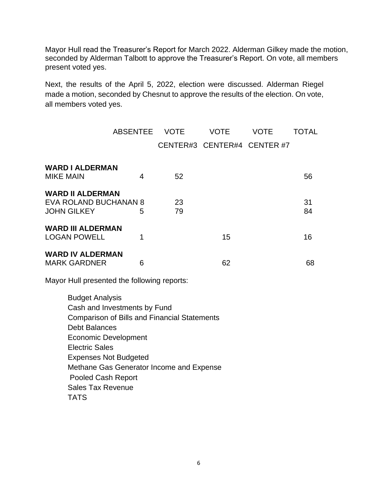Mayor Hull read the Treasurer's Report for March 2022. Alderman Gilkey made the motion, seconded by Alderman Talbott to approve the Treasurer's Report. On vote, all members present voted yes.

Next, the results of the April 5, 2022, election were discussed. Alderman Riegel made a motion, seconded by Chesnut to approve the results of the election. On vote, all members voted yes.

|                                                                                                                                                                                                                                                                                                                                                   | <b>ABSENTEE</b> | <b>VOTE</b> | <b>VOTE</b>                 | <b>VOTE</b> | <b>TOTAL</b> |
|---------------------------------------------------------------------------------------------------------------------------------------------------------------------------------------------------------------------------------------------------------------------------------------------------------------------------------------------------|-----------------|-------------|-----------------------------|-------------|--------------|
|                                                                                                                                                                                                                                                                                                                                                   |                 |             | CENTER#3 CENTER#4 CENTER #7 |             |              |
| <b>WARD I ALDERMAN</b><br><b>MIKE MAIN</b>                                                                                                                                                                                                                                                                                                        | 4               | 52          |                             |             | 56           |
| <b>WARD II ALDERMAN</b><br>EVA ROLAND BUCHANAN 8<br><b>JOHN GILKEY</b>                                                                                                                                                                                                                                                                            | 5               | 23<br>79    |                             |             | 31<br>84     |
| <b>WARD III ALDERMAN</b><br><b>LOGAN POWELL</b>                                                                                                                                                                                                                                                                                                   | 1               |             | 15                          |             | 16           |
| <b>WARD IV ALDERMAN</b><br><b>MARK GARDNER</b>                                                                                                                                                                                                                                                                                                    | 6               |             | 62                          |             | 68           |
| Mayor Hull presented the following reports:                                                                                                                                                                                                                                                                                                       |                 |             |                             |             |              |
| <b>Budget Analysis</b><br>Cash and Investments by Fund<br><b>Comparison of Bills and Financial Statements</b><br><b>Debt Balances</b><br><b>Economic Development</b><br><b>Electric Sales</b><br><b>Expenses Not Budgeted</b><br>Methane Gas Generator Income and Expense<br><b>Pooled Cash Report</b><br><b>Sales Tax Revenue</b><br><b>TATS</b> |                 |             |                             |             |              |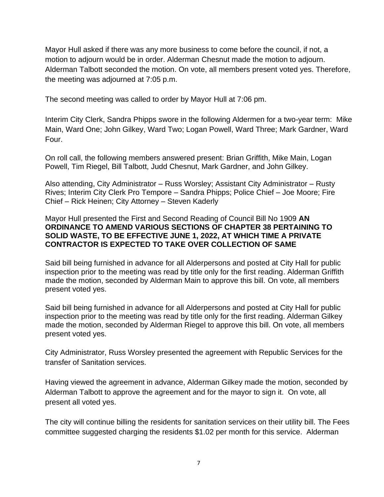Mayor Hull asked if there was any more business to come before the council, if not, a motion to adjourn would be in order. Alderman Chesnut made the motion to adjourn. Alderman Talbott seconded the motion. On vote, all members present voted yes. Therefore, the meeting was adjourned at 7:05 p.m.

The second meeting was called to order by Mayor Hull at 7:06 pm.

Interim City Clerk, Sandra Phipps swore in the following Aldermen for a two-year term: Mike Main, Ward One; John Gilkey, Ward Two; Logan Powell, Ward Three; Mark Gardner, Ward Four.

On roll call, the following members answered present: Brian Griffith, Mike Main, Logan Powell, Tim Riegel, Bill Talbott, Judd Chesnut, Mark Gardner, and John Gilkey.

Also attending, City Administrator – Russ Worsley; Assistant City Administrator – Rusty Rives; Interim City Clerk Pro Tempore – Sandra Phipps; Police Chief – Joe Moore; Fire Chief – Rick Heinen; City Attorney – Steven Kaderly

## Mayor Hull presented the First and Second Reading of Council Bill No 1909 **AN ORDINANCE TO AMEND VARIOUS SECTIONS OF CHAPTER 38 PERTAINING TO SOLID WASTE, TO BE EFFECTIVE JUNE 1, 2022, AT WHICH TIME A PRIVATE CONTRACTOR IS EXPECTED TO TAKE OVER COLLECTION OF SAME**

Said bill being furnished in advance for all Alderpersons and posted at City Hall for public inspection prior to the meeting was read by title only for the first reading. Alderman Griffith made the motion, seconded by Alderman Main to approve this bill. On vote, all members present voted yes.

Said bill being furnished in advance for all Alderpersons and posted at City Hall for public inspection prior to the meeting was read by title only for the first reading. Alderman Gilkey made the motion, seconded by Alderman Riegel to approve this bill. On vote, all members present voted yes.

City Administrator, Russ Worsley presented the agreement with Republic Services for the transfer of Sanitation services.

Having viewed the agreement in advance, Alderman Gilkey made the motion, seconded by Alderman Talbott to approve the agreement and for the mayor to sign it. On vote, all present all voted yes.

The city will continue billing the residents for sanitation services on their utility bill. The Fees committee suggested charging the residents \$1.02 per month for this service. Alderman